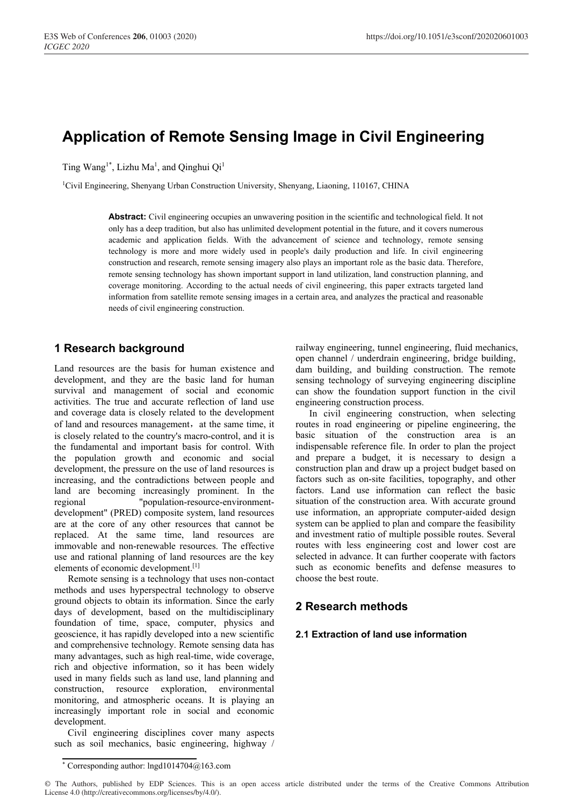# **Application of Remote Sensing Image in Civil Engineering**

Ting Wang<sup>1\*</sup>, Lizhu Ma<sup>1</sup>, and Qinghui Qi<sup>1</sup>

1Civil Engineering, Shenyang Urban Construction University, Shenyang, Liaoning, 110167, CHINA

**Abstract:** Civil engineering occupies an unwavering position in the scientific and technological field. It not only has a deep tradition, but also has unlimited development potential in the future, and it covers numerous academic and application fields. With the advancement of science and technology, remote sensing technology is more and more widely used in people's daily production and life. In civil engineering construction and research, remote sensing imagery also plays an important role as the basic data. Therefore, remote sensing technology has shown important support in land utilization, land construction planning, and coverage monitoring. According to the actual needs of civil engineering, this paper extracts targeted land information from satellite remote sensing images in a certain area, and analyzes the practical and reasonable needs of civil engineering construction.

# **1 Research background**

Land resources are the basis for human existence and development, and they are the basic land for human survival and management of social and economic activities. The true and accurate reflection of land use and coverage data is closely related to the development of land and resources management, at the same time, it is closely related to the country's macro-control, and it is the fundamental and important basis for control. With the population growth and economic and social development, the pressure on the use of land resources is increasing, and the contradictions between people and land are becoming increasingly prominent. In the regional "population-resource-environmentdevelopment" (PRED) composite system, land resources are at the core of any other resources that cannot be replaced. At the same time, land resources are immovable and non-renewable resources. The effective use and rational planning of land resources are the key elements of economic development.[1]

Remote sensing is a technology that uses non-contact methods and uses hyperspectral technology to observe ground objects to obtain its information. Since the early days of development, based on the multidisciplinary foundation of time, space, computer, physics and geoscience, it has rapidly developed into a new scientific and comprehensive technology. Remote sensing data has many advantages, such as high real-time, wide coverage, rich and objective information, so it has been widely used in many fields such as land use, land planning and construction, resource exploration, environmental monitoring, and atmospheric oceans. It is playing an increasingly important role in social and economic development.

Civil engineering disciplines cover many aspects such as soil mechanics, basic engineering, highway /

railway engineering, tunnel engineering, fluid mechanics, open channel / underdrain engineering, bridge building, dam building, and building construction. The remote sensing technology of surveying engineering discipline can show the foundation support function in the civil engineering construction process.

In civil engineering construction, when selecting routes in road engineering or pipeline engineering, the basic situation of the construction area is an indispensable reference file. In order to plan the project and prepare a budget, it is necessary to design a construction plan and draw up a project budget based on factors such as on-site facilities, topography, and other factors. Land use information can reflect the basic situation of the construction area. With accurate ground use information, an appropriate computer-aided design system can be applied to plan and compare the feasibility and investment ratio of multiple possible routes. Several routes with less engineering cost and lower cost are selected in advance. It can further cooperate with factors such as economic benefits and defense measures to choose the best route.

# **2 Research methods**

## **2.1 Extraction of land use information**

<sup>\*</sup> Corresponding author: lngd1014704@163.com

<sup>©</sup> The Authors, published by EDP Sciences. This is an open access article distributed under the terms of the Creative Commons Attribution License 4.0 (http://creativecommons.org/licenses/by/4.0/).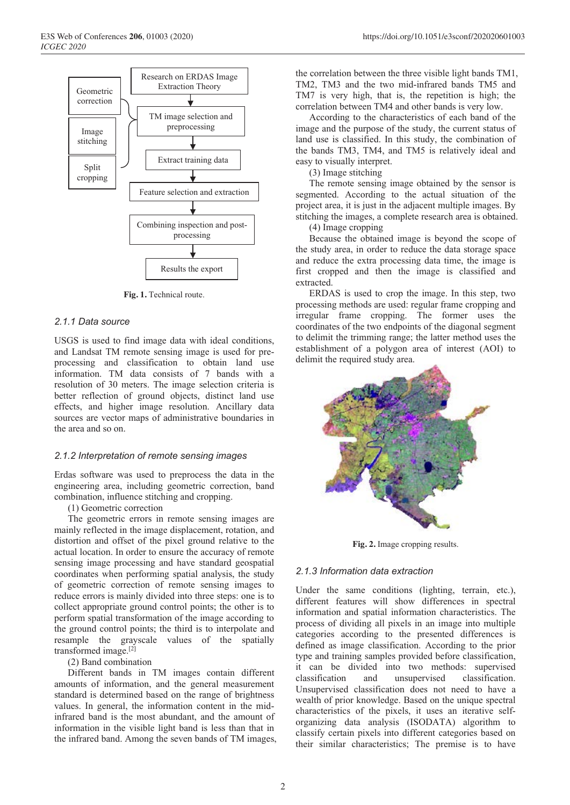

**Fig. 1.** Technical route.

### *2.1.1 Data source*

USGS is used to find image data with ideal conditions, and Landsat TM remote sensing image is used for preprocessing and classification to obtain land use information. TM data consists of 7 bands with a resolution of 30 meters. The image selection criteria is better reflection of ground objects, distinct land use effects, and higher image resolution. Ancillary data sources are vector maps of administrative boundaries in the area and so on.

### *2.1.2 Interpretation of remote sensing images*

Erdas software was used to preprocess the data in the engineering area, including geometric correction, band combination, influence stitching and cropping.

(1) Geometric correction

The geometric errors in remote sensing images are mainly reflected in the image displacement, rotation, and distortion and offset of the pixel ground relative to the actual location. In order to ensure the accuracy of remote sensing image processing and have standard geospatial coordinates when performing spatial analysis, the study of geometric correction of remote sensing images to reduce errors is mainly divided into three steps: one is to collect appropriate ground control points; the other is to perform spatial transformation of the image according to the ground control points; the third is to interpolate and resample the grayscale values of the spatially transformed image.[2]

(2) Band combination

Different bands in TM images contain different amounts of information, and the general measurement standard is determined based on the range of brightness values. In general, the information content in the midinfrared band is the most abundant, and the amount of information in the visible light band is less than that in the infrared band. Among the seven bands of TM images, the correlation between the three visible light bands TM1, TM2, TM3 and the two mid-infrared bands TM5 and TM7 is very high, that is, the repetition is high; the correlation between TM4 and other bands is very low.

According to the characteristics of each band of the image and the purpose of the study, the current status of land use is classified. In this study, the combination of the bands TM3, TM4, and TM5 is relatively ideal and easy to visually interpret.

(3) Image stitching

The remote sensing image obtained by the sensor is segmented. According to the actual situation of the project area, it is just in the adjacent multiple images. By stitching the images, a complete research area is obtained.

(4) Image cropping

Because the obtained image is beyond the scope of the study area, in order to reduce the data storage space and reduce the extra processing data time, the image is first cropped and then the image is classified and extracted.

ERDAS is used to crop the image. In this step, two processing methods are used: regular frame cropping and irregular frame cropping. The former uses the coordinates of the two endpoints of the diagonal segment to delimit the trimming range; the latter method uses the establishment of a polygon area of interest (AOI) to delimit the required study area.



**Fig. 2.** Image cropping results.

## *2.1.3 Information data extraction*

Under the same conditions (lighting, terrain, etc.), different features will show differences in spectral information and spatial information characteristics. The process of dividing all pixels in an image into multiple categories according to the presented differences is defined as image classification. According to the prior type and training samples provided before classification, it can be divided into two methods: supervised classification and unsupervised classification. Unsupervised classification does not need to have a wealth of prior knowledge. Based on the unique spectral characteristics of the pixels, it uses an iterative selforganizing data analysis (ISODATA) algorithm to classify certain pixels into different categories based on their similar characteristics; The premise is to have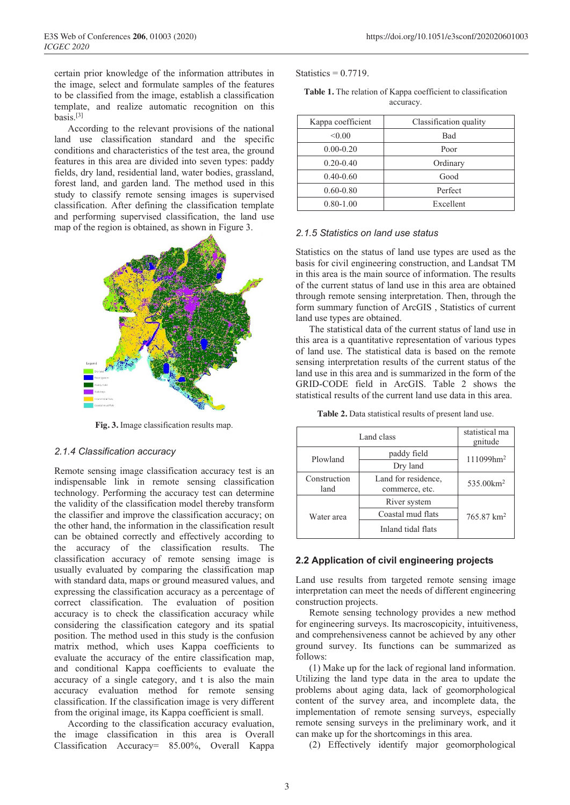certain prior knowledge of the information attributes in the image, select and formulate samples of the features to be classified from the image, establish a classification template, and realize automatic recognition on this basis.[3]

According to the relevant provisions of the national land use classification standard and the specific conditions and characteristics of the test area, the ground features in this area are divided into seven types: paddy fields, dry land, residential land, water bodies, grassland, forest land, and garden land. The method used in this study to classify remote sensing images is supervised classification. After defining the classification template and performing supervised classification, the land use map of the region is obtained, as shown in Figure 3.



**Fig. 3.** Image classification results map.

### *2.1.4 Classification accuracy*

Remote sensing image classification accuracy test is an indispensable link in remote sensing classification technology. Performing the accuracy test can determine the validity of the classification model thereby transform the classifier and improve the classification accuracy; on the other hand, the information in the classification result can be obtained correctly and effectively according to the accuracy of the classification results. The classification accuracy of remote sensing image is usually evaluated by comparing the classification map with standard data, maps or ground measured values, and expressing the classification accuracy as a percentage of correct classification. The evaluation of position accuracy is to check the classification accuracy while considering the classification category and its spatial position. The method used in this study is the confusion matrix method, which uses Kappa coefficients to evaluate the accuracy of the entire classification map, and conditional Kappa coefficients to evaluate the accuracy of a single category, and t is also the main accuracy evaluation method for remote sensing classification. If the classification image is very different from the original image, its Kappa coefficient is small.

According to the classification accuracy evaluation, the image classification in this area is Overall Classification Accuracy= 85.00%, Overall Kappa

| <b>Table 1.</b> The relation of Kappa coefficient to classification |  |
|---------------------------------------------------------------------|--|
| accuracy.                                                           |  |

| Kappa coefficient | Classification quality |  |
|-------------------|------------------------|--|
| < 0.00            | Bad                    |  |
| $0.00 - 0.20$     | Poor                   |  |
| $0.20 - 0.40$     | Ordinary               |  |
| $0.40 - 0.60$     | Good                   |  |
| $0.60 - 0.80$     | Perfect                |  |
| $0.80 - 1.00$     | Excellent              |  |

#### *2.1.5 Statistics on land use status*

Statistics on the status of land use types are used as the basis for civil engineering construction, and Landsat TM in this area is the main source of information. The results of the current status of land use in this area are obtained through remote sensing interpretation. Then, through the form summary function of ArcGIS , Statistics of current land use types are obtained.

The statistical data of the current status of land use in this area is a quantitative representation of various types of land use. The statistical data is based on the remote sensing interpretation results of the current status of the land use in this area and is summarized in the form of the GRID-CODE field in ArcGIS. Table 2 shows the statistical results of the current land use data in this area.

|                      | Land class                            | statistical ma<br>gnitude |  |
|----------------------|---------------------------------------|---------------------------|--|
| Plowland             | paddy field                           | $111099$ hm <sup>2</sup>  |  |
|                      | Dry land                              |                           |  |
| Construction<br>land | Land for residence,<br>commerce, etc. | 535.00 $km^2$             |  |
|                      | River system                          |                           |  |
| Water area           | Coastal mud flats                     | $765.87$ km <sup>2</sup>  |  |
|                      | Inland tidal flats                    |                           |  |

**Table 2.** Data statistical results of present land use.

## **2.2 Application of civil engineering projects**

Land use results from targeted remote sensing image interpretation can meet the needs of different engineering construction projects.

Remote sensing technology provides a new method for engineering surveys. Its macroscopicity, intuitiveness, and comprehensiveness cannot be achieved by any other ground survey. Its functions can be summarized as follows:

(1) Make up for the lack of regional land information. Utilizing the land type data in the area to update the problems about aging data, lack of geomorphological content of the survey area, and incomplete data, the implementation of remote sensing surveys, especially remote sensing surveys in the preliminary work, and it can make up for the shortcomings in this area.

(2) Effectively identify major geomorphological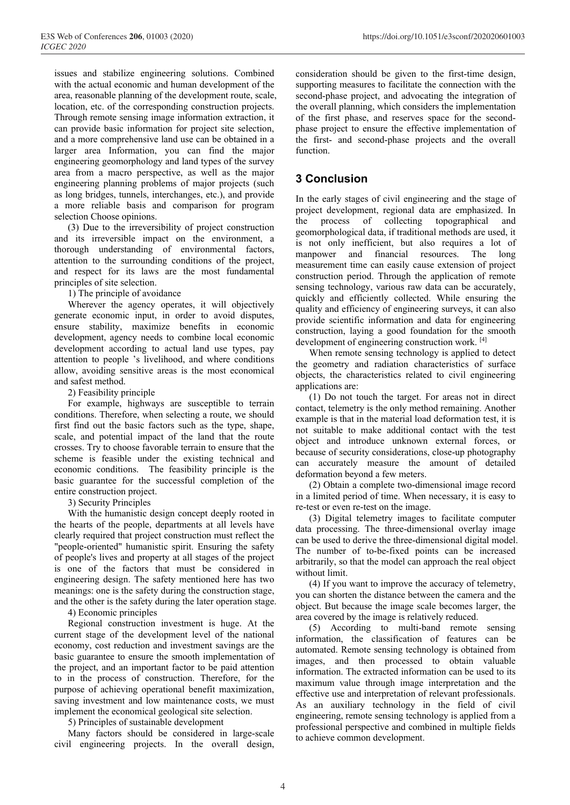issues and stabilize engineering solutions. Combined with the actual economic and human development of the area, reasonable planning of the development route, scale, location, etc. of the corresponding construction projects. Through remote sensing image information extraction, it can provide basic information for project site selection, and a more comprehensive land use can be obtained in a larger area Information, you can find the major engineering geomorphology and land types of the survey area from a macro perspective, as well as the major engineering planning problems of major projects (such as long bridges, tunnels, interchanges, etc.), and provide a more reliable basis and comparison for program selection Choose opinions.

(3) Due to the irreversibility of project construction and its irreversible impact on the environment, a thorough understanding of environmental factors, attention to the surrounding conditions of the project, and respect for its laws are the most fundamental principles of site selection.

1) The principle of avoidance

Wherever the agency operates, it will objectively generate economic input, in order to avoid disputes, ensure stability, maximize benefits in economic development, agency needs to combine local economic development according to actual land use types, pay attention to people 's livelihood, and where conditions allow, avoiding sensitive areas is the most economical and safest method.

2) Feasibility principle

For example, highways are susceptible to terrain conditions. Therefore, when selecting a route, we should first find out the basic factors such as the type, shape, scale, and potential impact of the land that the route crosses. Try to choose favorable terrain to ensure that the scheme is feasible under the existing technical and economic conditions. The feasibility principle is the basic guarantee for the successful completion of the entire construction project.

3) Security Principles

With the humanistic design concept deeply rooted in the hearts of the people, departments at all levels have clearly required that project construction must reflect the "people-oriented" humanistic spirit. Ensuring the safety of people's lives and property at all stages of the project is one of the factors that must be considered in engineering design. The safety mentioned here has two meanings: one is the safety during the construction stage, and the other is the safety during the later operation stage.

4) Economic principles

Regional construction investment is huge. At the current stage of the development level of the national economy, cost reduction and investment savings are the basic guarantee to ensure the smooth implementation of the project, and an important factor to be paid attention to in the process of construction. Therefore, for the purpose of achieving operational benefit maximization, saving investment and low maintenance costs, we must implement the economical geological site selection.

5) Principles of sustainable development

Many factors should be considered in large-scale civil engineering projects. In the overall design,

consideration should be given to the first-time design, supporting measures to facilitate the connection with the second-phase project, and advocating the integration of the overall planning, which considers the implementation of the first phase, and reserves space for the secondphase project to ensure the effective implementation of the first- and second-phase projects and the overall function.

# **3 Conclusion**

In the early stages of civil engineering and the stage of project development, regional data are emphasized. In the process of collecting topographical and geomorphological data, if traditional methods are used, it is not only inefficient, but also requires a lot of manpower and financial resources. The long measurement time can easily cause extension of project construction period. Through the application of remote sensing technology, various raw data can be accurately, quickly and efficiently collected. While ensuring the quality and efficiency of engineering surveys, it can also provide scientific information and data for engineering construction, laying a good foundation for the smooth development of engineering construction work. [4]

When remote sensing technology is applied to detect the geometry and radiation characteristics of surface objects, the characteristics related to civil engineering applications are:

(1) Do not touch the target. For areas not in direct contact, telemetry is the only method remaining. Another example is that in the material load deformation test, it is not suitable to make additional contact with the test object and introduce unknown external forces, or because of security considerations, close-up photography can accurately measure the amount of detailed deformation beyond a few meters.

(2) Obtain a complete two-dimensional image record in a limited period of time. When necessary, it is easy to re-test or even re-test on the image.

(3) Digital telemetry images to facilitate computer data processing. The three-dimensional overlay image can be used to derive the three-dimensional digital model. The number of to-be-fixed points can be increased arbitrarily, so that the model can approach the real object without limit.

(4) If you want to improve the accuracy of telemetry, you can shorten the distance between the camera and the object. But because the image scale becomes larger, the area covered by the image is relatively reduced.

(5) According to multi-band remote sensing information, the classification of features can be automated. Remote sensing technology is obtained from images, and then processed to obtain valuable information. The extracted information can be used to its maximum value through image interpretation and the effective use and interpretation of relevant professionals. As an auxiliary technology in the field of civil engineering, remote sensing technology is applied from a professional perspective and combined in multiple fields to achieve common development.